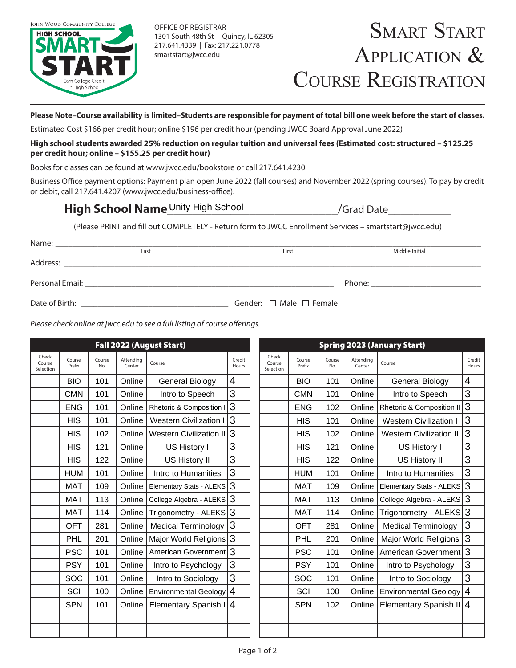

OFFICE OF REGISTRAR 1301 South 48th St | Quincy, IL 62305 217.641.4339 | Fax: 217.221.0778 smartstart@jwcc.edu

## **Please Note–Course availability is limited–Students are responsible for payment of total bill one week before the start of classes.**

Estimated Cost \$166 per credit hour; online \$196 per credit hour (pending JWCC Board Approval June 2022)

### **High school students awarded 25% reduction on regular tuition and universal fees (Estimated cost: structured – \$125.25 per credit hour; online – \$155.25 per credit hour)**

Books for classes can be found at www.jwcc.edu/bookstore or call 217.641.4230

Business Office payment options: Payment plan open June 2022 (fall courses) and November 2022 (spring courses). To pay by credit or debit, call 217.641.4207 (www.jwcc.edu/business-office).

# High School Name<sup>\_Unity High School \_\_\_\_\_\_\_\_\_\_\_\_\_\_\_\_\_\_\_/Grad Date\_\_\_\_\_\_\_\_\_\_\_\_\_\_\_</sup>

(Please PRINT and fill out COMPLETELY - Return form to JWCC Enrollment Services – smartstart@jwcc.edu)

| Name:           |      |       |                |
|-----------------|------|-------|----------------|
|                 | Last | First | Middle Initial |
| Address:        |      |       |                |
| Personal Email: |      |       | Phone:         |
|                 |      |       |                |

Date of Birth:  $\Box$  Female  $\Box$  Female  $\Box$  Female  $\Box$  Female  $\Box$  Female  $\Box$  Female  $\Box$  Female  $\Box$  Female  $\Box$  Female  $\Box$  Female  $\Box$  Female  $\Box$  Female  $\Box$  Female  $\Box$  Female  $\Box$  Female  $\Box$  Female  $\Box$  Female  $\Box$ 

*Please check online at jwcc.edu to see a full listing of course offerings.*

|                              |                  |               |                     | Fall 2022 (August Start)      |                 |                              |                  |               |                     | <b>Spring 2023 (January Start)</b> |                 |
|------------------------------|------------------|---------------|---------------------|-------------------------------|-----------------|------------------------------|------------------|---------------|---------------------|------------------------------------|-----------------|
| Check<br>Course<br>Selection | Course<br>Prefix | Course<br>No. | Attendina<br>Center | Course                        | Credit<br>Hours | Check<br>Course<br>Selection | Course<br>Prefix | Course<br>No. | Attendina<br>Center | Course                             | Credit<br>Hours |
|                              | <b>BIO</b>       | 101           | Online              | <b>General Biology</b>        | $\overline{4}$  |                              | <b>BIO</b>       | 101           | Online              | <b>General Biology</b>             | 4               |
|                              | <b>CMN</b>       | 101           | Online              | Intro to Speech               | 3               |                              | <b>CMN</b>       | 101           | Online              | Intro to Speech                    | 3               |
|                              | <b>ENG</b>       | 101           | Online              | Rhetoric & Composition        | 3               |                              | <b>ENG</b>       | 102           | Online              | Rhetoric & Composition II          | 3               |
|                              | <b>HIS</b>       | 101           | Online              | <b>Western Civilization I</b> | 3               |                              | <b>HIS</b>       | 101           | Online              | <b>Western Civilization I</b>      | 3               |
|                              | <b>HIS</b>       | 102           | Online              | Western Civilization II 3     |                 |                              | <b>HIS</b>       | 102           | Online              | <b>Western Civilization II</b>     | 3               |
|                              | <b>HIS</b>       | 121           | Online              | US History I                  | 3               |                              | <b>HIS</b>       | 121           | Online              | US History I                       | 3               |
|                              | <b>HIS</b>       | 122           | Online              | US History II                 | 3               |                              | <b>HIS</b>       | 122           | Online              | US History II                      | 3               |
|                              | <b>HUM</b>       | 101           | Online              | Intro to Humanities           | 3               |                              | <b>HUM</b>       | 101           | Online              | Intro to Humanities                | 3               |
|                              | <b>MAT</b>       | 109           | Online              | Elementary Stats - ALEKS 3    |                 |                              | <b>MAT</b>       | 109           | Online              | <b>Elementary Stats - ALEKS</b>    | 3               |
|                              | <b>MAT</b>       | 113           | Online              | College Algebra - ALEKS 3     |                 |                              | <b>MAT</b>       | 113           | Online              | College Algebra - ALEKS            | 3               |
|                              | <b>MAT</b>       | 114           | Online              | Trigonometry - ALEKS 3        |                 |                              | <b>MAT</b>       | 114           | Online              | Trigonometry - ALEKS               | 3               |
|                              | <b>OFT</b>       | 281           | Online              | <b>Medical Terminology</b>    | 3               |                              | <b>OFT</b>       | 281           | Online              | <b>Medical Terminology</b>         | 3               |
|                              | PHL              | 201           | Online              | Major World Religions 3       |                 |                              | PHL              | 201           | Online              | <b>Major World Religions</b>       | 3               |
|                              | <b>PSC</b>       | 101           | Online              | American Government 3         |                 |                              | <b>PSC</b>       | 101           | Online              | American Government                | 3               |
|                              | <b>PSY</b>       | 101           | Online              | Intro to Psychology           | 3               |                              | <b>PSY</b>       | 101           | Online              | Intro to Psychology                | 3               |
|                              | SOC              | 101           | Online              | Intro to Sociology            | 3               |                              | SOC              | 101           | Online              | Intro to Sociology                 | 3               |
|                              | SCI              | 100           | Online              | <b>Environmental Geology</b>  | $\overline{4}$  |                              | SCI              | 100           | Online              | <b>Environmental Geology</b>       | 4               |
|                              | <b>SPN</b>       | 101           | Online              | <b>Elementary Spanish I</b>   | 4               |                              | <b>SPN</b>       | 102           | Online              | <b>Elementary Spanish II</b>       | $\overline{4}$  |
|                              |                  |               |                     |                               |                 |                              |                  |               |                     |                                    |                 |
|                              |                  |               |                     |                               |                 |                              |                  |               |                     |                                    |                 |